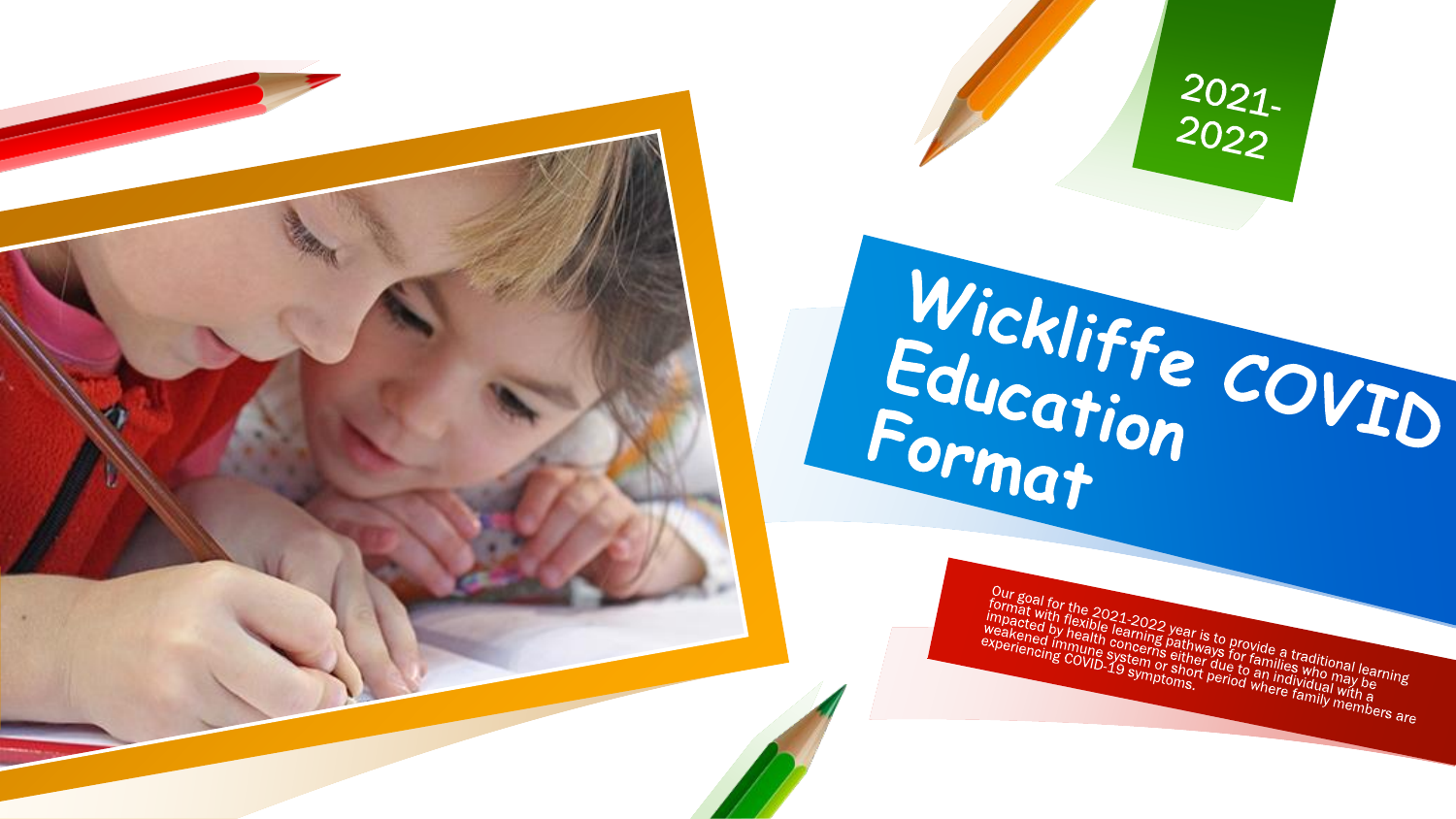



Wickliffe COVID<br>Format<br>Format Our goal for the 2021-2022 year is to provide a traditional learning<br>impacted by health concerns a traditional learning<br>experiencing COVID-19 symptoms. Period where families with a<br>concerns covided by the system or sither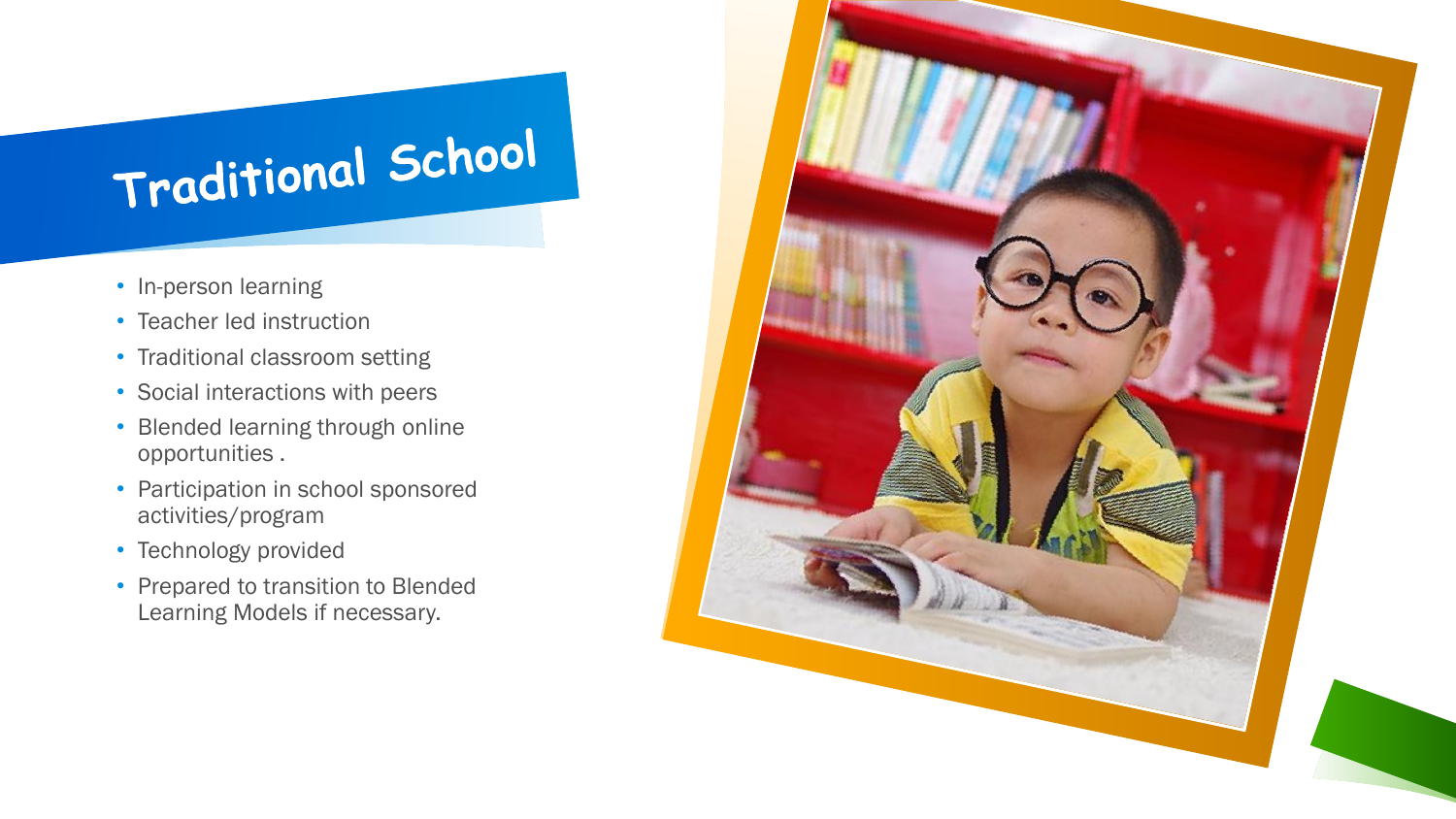## Traditional School

- In-person learning
- Teacher led instruction
- Traditional classroom setting
- Social interactions with peers
- Blended learning through online opportunities .
- Participation in school sponsored activities/program
- Technology provided
- Prepared to transition to Blended Learning Models if necessary.

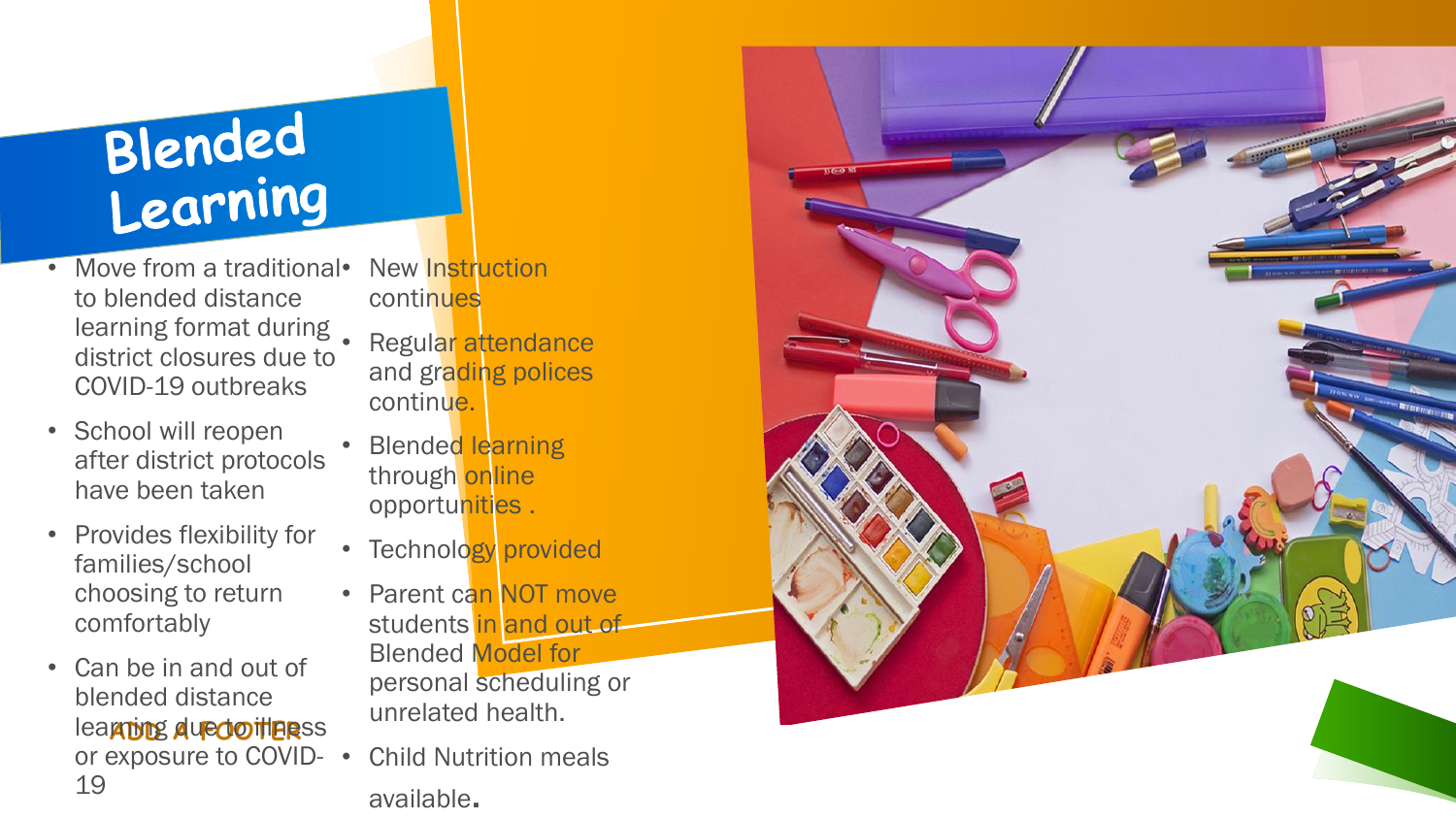## Blended Learning

- Move from a traditional• to blended distance learning format during. district closures due to COVID-19 outbreaks
- School will reopen after district protocols have been taken
- Provides flexibility for families/school choosing to return comfortably
- learning due doitiers s • Can be in and out of blended distance or exposure to COVID-19
- **New Instruction continues**
- Regular attendance and grading polices continue.
- **Blended learning** through online opportunities.
- Technology provided
- Parent can NOT move students in and out of Blended Model for

personal scheduling or unrelated health.

• Child Nutrition meals available.